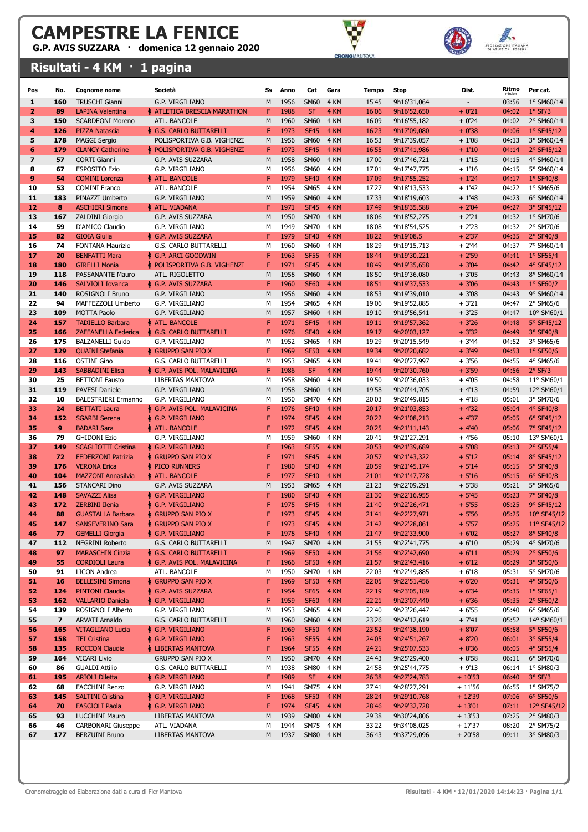G.P. AVIS SUZZARA · domenica 12 gennaio 2020

### Risultati - 4 KM · 1 pagina





| Pos            | No.                     | <b>Cognome nome</b>                               | Società                                       | Ss     | Anno         | Cat                        | Gara         | Tempo          | Stop                       | Dist.              | Ritmo          | Per cat.                   |
|----------------|-------------------------|---------------------------------------------------|-----------------------------------------------|--------|--------------|----------------------------|--------------|----------------|----------------------------|--------------------|----------------|----------------------------|
| 1              | 160                     | <b>TRUSCHI Gianni</b>                             | G.P. VIRGILIANO                               | M      | 1956         | <b>SM60</b>                | 4 KM         | 15'45          | 9h16'31,064                |                    | 03:56          | 1° SM60/14                 |
| $\overline{2}$ | 89                      | <b>LAPINA Valentina</b>                           | <b>A ATLETICA BRESCIA MARATHON</b>            | F      | 1988         | <b>SF</b>                  | 4 KM         | 16'06          | 9h16'52,650                | $+0'21$            | 04:02          | $1°$ SF/3                  |
| 3              | 150                     | <b>SCARDEONI Moreno</b>                           | ATL. BANCOLE                                  | M      | 1960         | <b>SM60</b>                | 4 KM         | 16'09          | 9h16'55,182                | $+0'24$            | 04:02          | 2° SM60/14                 |
| 4              | 126                     | <b>PIZZA Natascia</b>                             | G.S. CARLO BUTTARELLI                         | F      | 1973         | <b>SF45</b>                | 4 KM         | 16'23          | 9h17'09,080                | $+0'38$            | 04:06          | $1°$ SF45/12               |
| 5              | 178                     | <b>MAGGI Sergio</b>                               | POLISPORTIVA G.B. VIGHENZI                    | M      | 1956         | <b>SM60</b>                | 4 KM         | 16'53          | 9h17'39,057                | $+1'08$            | 04:13          | 3° SM60/14                 |
| 6              | 179                     | <b>CLANCY Catherine</b>                           | POLISPORTIVA G.B. VIGHENZI                    | F.     | 1973         | <b>SF45</b>                | 4 KM         | 16'55          | 9h17'41,986                | $+1'10$            | 04:14          | 2° SF45/12                 |
| $\overline{ }$ | 57                      | <b>CORTI Gianni</b>                               | G.P. AVIS SUZZARA                             | M      | 1958         | <b>SM60</b>                | 4 KM         | 17'00          | 9h17'46,721                | $+1'15$            | 04:15          | 4° SM60/14                 |
| 8              | 67                      | <b>ESPOSITO Ezio</b>                              | G.P. VIRGILIANO                               | М      | 1956         | <b>SM60</b>                | 4 KM         | 17'01          | 9h17'47,775                | $+1'16$            | 04:15          | 5° SM60/14                 |
| 9              | 54                      | <b>COMINI Lorenza</b>                             | <b>ATL. BANCOLE</b>                           | F      | 1979         | <b>SF40</b>                | 4 KM         | 17'09          | 9h17'55,252                | $+1'24$            | 04:17          | $1°$ SF40/8                |
| 10             | 53                      | <b>COMINI Franco</b>                              | ATL. BANCOLE                                  | М      | 1954         | <b>SM65</b>                | 4 KM         | 17'27          | 9h18'13,533                | $+1'42$            | 04:22          | 1° SM65/6                  |
| 11             | 183                     | PINAZZI Umberto                                   | G.P. VIRGILIANO                               | M      | 1959         | <b>SM60</b>                | 4 KM         | 17'33          | 9h18'19,603                | $+1'48$            | 04:23          | 6° SM60/14                 |
| 12             | 8                       | <b>ASCHIERI Simona</b>                            | ♦ ATL. VIADANA                                | F      | 1971         | <b>SF45</b>                | 4 KM         | 17'49          | 9h18'35,588                | $+2'04$            | 04:27          | 3° SF45/12                 |
| 13             | 167                     | <b>ZALDINI Giorgio</b>                            | G.P. AVIS SUZZARA                             | M      | 1950         | <b>SM70</b>                | 4 KM         | 18'06          | 9h18'52,275                | $+2'21$            | 04:32          | 1° SM70/6                  |
| 14             | 59                      | D'AMICO Claudio                                   | G.P. VIRGILIANO                               | М      | 1949         | <b>SM70</b>                | 4 KM         | 18'08          | 9h18'54,525                | $+2'23$            | 04:32          | 2° SM70/6                  |
| 15             | 82                      | <b>GIOIA Giulia</b>                               | ♦ G.P. AVIS SUZZARA                           | F      | 1979         | <b>SF40</b>                | 4 KM         | 18'22          | 9h19'08,5                  | $+2'37$            | 04:35          | $2°$ SF40/8                |
| 16             | 74                      | FONTANA Maurizio                                  | G.S. CARLO BUTTARELLI                         | M      | 1960         | <b>SM60</b>                | 4 KM         | 18'29          | 9h19'15,713                | $+2'44$            | 04:37          | 7° SM60/14                 |
| 17             | 20                      | <b>BENFATTI Mara</b>                              | ♦ G.P. ARCI GOODWIN                           | F      | 1963         | <b>SF55</b>                | 4 KM         | 18'44          | 9h19'30,221                | $+2'59$            | 04:41          | $1°$ SF55/4                |
| 18             | 180                     | <b>GIRELLI Monia</b>                              | POLISPORTIVA G.B. VIGHENZI                    | F      | 1971         | <b>SF45</b>                | 4 KM         | 18'49          | 9h19'35,658                | $+3'04$            | 04:42          | 4° SF45/12                 |
| 19             | 118                     | PASSANANTE Mauro                                  | ATL. RIGOLETTO                                | M      | 1958         | <b>SM60</b>                | 4 KM         | 18'50          | 9h19'36,080                | $+3'05$            | 04:43          | 8° SM60/14                 |
| 20             | 146                     | <b>SALVIOLI Iovanca</b>                           | ♦ G.P. AVIS SUZZARA                           | F      | 1960         | <b>SF60</b>                | 4 KM         | 18'51          | 9h19'37,533                | $+3'06$            | 04:43          | $1°$ SF60/2                |
| 21             | 140                     | ROSIGNOLI Bruno                                   | G.P. VIRGILIANO                               | M      | 1956         | <b>SM60</b>                | 4 KM         | 18'53          | 9h19'39,010                | $+3'08$            | 04:43          | 9° SM60/14                 |
| 22             | 94                      | MAFFEZZOLI Umberto                                | G.P. VIRGILIANO                               | М      | 1954         | <b>SM65</b>                | 4 KM         | 19'06          | 9h19'52,885                | $+3'21$            | 04:47          | 2° SM65/6                  |
| 23             | 109                     | <b>MOTTA Paolo</b>                                | G.P. VIRGILIANO                               | M      | 1957         | <b>SM60</b>                | 4 KM         | 19'10          | 9h19'56,541                | $+3'25$            | 04:47          | 10° SM60/1                 |
| 24             | 157                     | <b>TADIELLO Barbara</b>                           | <b>ATL. BANCOLE</b>                           | F      | 1971         | <b>SF45</b>                | 4 KM         | 19'11          | 9h19'57,362                | $+3'26$            | 04:48          | 5° SF45/12                 |
| 25             | 166                     | <b>ZAFFANELLA Federica</b>                        | ♦ G.S. CARLO BUTTARELLI                       | F      | 1976         | <b>SF40</b>                | 4 KM         | 19'17          | 9h20'03,127                | $+3'32$            | 04:49          | 3° SF40/8                  |
| 26             | 175                     | <b>BALZANELLI Guido</b>                           | G.P. VIRGILIANO                               | M      | 1952         | <b>SM65</b>                | 4 KM         | 19'29          | 9h20'15,549                | $+3'44$            | 04:52          | 3° SM65/6                  |
| 27             | 129                     | <b>QUAINI Stefania</b>                            | ↑ Gruppo San Pio X                            | F      | 1969         | <b>SF50</b>                | 4 KM         | 19'34          | 9h20'20,682                | $+3'49$            | 04:53          | $1°$ SF50/6                |
| 28             | 116                     | <b>OSTINI Gino</b>                                | G.S. CARLO BUTTARELLI                         | М      | 1953         | <b>SM65</b>                | 4 KM         | 19'41          | 9h20'27,997                | $+3'56$            | 04:55          | 4° SM65/6                  |
| 29             | 143                     | <b>SABBADINI Elisa</b>                            | G.P. AVIS POL. MALAVICINA                     | F      | 1986         | <b>SF</b>                  | 4 KM         | 19'44          | 9h20'30,760                | $+3'59$            | 04:56          | $2°$ SF/3                  |
| 30             | 25                      | <b>BETTONI</b> Fausto                             | LIBERTAS MANTOVA                              | M      | 1958         | <b>SM60</b>                | 4 KM         | 19'50          | 9h20'36,033                | $+4'05$            | 04:58          | 11° SM60/1                 |
| 31             | 119                     | <b>PAVESI Daniele</b>                             | G.P. VIRGILIANO                               | M      | 1958         | <b>SM60</b>                | 4 KM         | 19'58          | 9h20'44,705                | $+4'13$            | 04:59          | 12° SM60/1                 |
| 32             | 10                      | <b>BALESTRIERI Ermanno</b>                        | G.P. VIRGILIANO                               | M      | 1950         | <b>SM70</b>                | 4 KM         | 20'03          | 9h20'49,815                | $+4'18$            | 05:01          | 3° SM70/6                  |
| 33             | 24                      | <b>BETTATI Laura</b>                              | G.P. AVIS POL. MALAVICINA                     | F      | 1976         | <b>SF40</b>                | 4 KM         | 20'17          | 9h21'03,853                | $+4'32$            | 05:04          | 4° SF40/8                  |
| 34             | 152                     | <b>SGARBI</b> Serena                              | <b>↓ G.P. VIRGILIANO</b>                      | F      | 1974         | <b>SF45</b>                | 4 KM         | 20'22          | 9h21'08,213                | $+4'37$            | 05:05          | 6° SF45/12                 |
| 35             | 9                       | <b>BADARI Sara</b>                                | ♦ ATL. BANCOLE                                | F      | 1972         | <b>SF45</b>                | 4 KM         | 20'25          | 9h21'11,143                | $+4'40$            | 05:06          | 7° SF45/12                 |
| 36             | 79                      | <b>GHIDONI Ezio</b>                               | G.P. VIRGILIANO                               | M      | 1959         | <b>SM60</b>                | 4 KM         | 20'41          | 9h21'27,291                | $+4'56$            | 05:10          | 13° SM60/1                 |
| 37             | 149                     | <b>SCAGLIOTTI Cristina</b>                        | ∲ G.P. VIRGILIANO                             |        | 1963         | <b>SF55</b>                | 4 KM         | 20'53          | 9h21'39,689                | $+5'08$            | 05:13          | $2°$ SF55/4                |
| 38             | 72                      | <b>FEDERZONI Patrizia</b>                         | ↑ GRUPPO SAN PIO X                            | F      | 1971         | <b>SF45</b>                | 4 KM         | 20'57          | 9h21'43,322                | $+5'12$            | 05:14          | 8° SF45/12                 |
| 39             | 176                     | <b>VERONA Erica</b>                               | ♦ PICO RUNNERS                                | F      | 1980         | <b>SF40</b>                | 4 KM         | 20'59          | 9h21'45,174                | $+5'14$            | 05:15          | 5° SF40/8                  |
| 40             | 104                     | <b>MAZZONI Annasilvia</b>                         | <b>ATL. BANCOLE</b>                           | F      | 1977         | <b>SF40</b>                | 4 KM         | 21'01          | 9h21'47,728                | $+5'16$            | 05:15          | $6°$ SF40/8                |
| 41             | 156                     | <b>STANCARI Dino</b>                              | G.P. AVIS SUZZARA                             | M      | 1953         | <b>SM65</b>                | 4 KM         | 21'23          | 9h22'09,291                | $+5'38$            | 05:21          | 5° SM65/6                  |
| 42             | 148                     | <b>SAVAZZI Alisa</b>                              | ↑ G.P. VIRGILIANO                             | F      | 1980         | <b>SF40</b>                | 4 KM         | 21'30          | 9h22'16,955                | $+5'45$            | 05:23          | 7° SF40/8                  |
| 43             | 172                     | <b>ZERBINI Ilenia</b>                             | ♦ G.P. VIRGILIANO                             |        | 1975         | <b>SF45</b>                | 4 KM         | 21'40          | 9h22'26,471                | $+5'55$            | 05:25          | 9° SF45/12                 |
| 44<br>45       | 88                      | <b>GUASTALLA Barbara</b>                          | <b>GRUPPO SAN PIO X</b><br>♦ GRUPPO SAN PIO X | F      | 1973         | <b>SF45</b><br><b>SF45</b> | 4 KM         | 21'41          | 9h22'27,971                | $+5'56$<br>$+5'57$ | 05:25          | 10° SF45/12<br>11° SF45/12 |
|                | 147                     | <b>SANSEVERINO Sara</b><br><b>GEMELLI Giorgia</b> | ♦ G.P. VIRGILIANO                             |        | 1973<br>1978 | <b>SF40</b>                | 4 KM<br>4 KM | 21'42          | 9h22'28,861                | $+6'02$            | 05:25          | 8° SF40/8                  |
| 46<br>47       | 77                      |                                                   |                                               | F<br>M | 1947         | <b>SM70</b>                | 4 KM         | 21'47<br>21'55 | 9h22'33,900                | $+6'10$            | 05:27          | 4° SM70/6                  |
|                | 112                     | NEGRINI Roberto                                   | <b>G.S. CARLO BUTTARELLI</b>                  |        |              |                            |              |                | 9h22'41,775                |                    | 05:29          |                            |
| 48<br>49       | 97<br>55                | <b>MARASCHIN Cinzia</b>                           | ♦ G.S. CARLO BUTTARELLI                       | F<br>F | 1969<br>1966 | <b>SF50</b><br><b>SF50</b> | 4 KM         | 21'56<br>21'57 | 9h22'42,690                | $+6'11$<br>$+6'12$ | 05:29          | $2°$ SF50/6<br>3° SF50/6   |
| 50             | 91                      | <b>CORDIOLI Laura</b><br><b>LICON Andrea</b>      | G.P. AVIS POL. MALAVICINA<br>ATL. BANCOLE     | М      |              | <b>SM70</b>                | 4 KM         | 22'03          | 9h22'43,416<br>9h22'49,885 | $+6'18$            | 05:29<br>05:31 | 5° SM70/6                  |
|                | 16                      | <b>BELLESINI Simona</b>                           | GRUPPO SAN PIO X                              | F      | 1950<br>1969 | <b>SF50</b>                | 4 KM<br>4 KM | 22'05          |                            | $+6'20$            |                |                            |
| 51<br>52       | 124                     | <b>PINTONI Claudia</b>                            | G.P. AVIS SUZZARA                             | F      | 1954         | <b>SF65</b>                | 4 KM         | 22'19          | 9h22'51,456<br>9h23'05,189 | $+6'34$            | 05:31<br>05:35 | 4° SF50/6<br>$1°$ SF65/1   |
| 53             | 162                     | <b>VALLARIO Daniela</b>                           | ♦ G.P. VIRGILIANO                             | F      | 1959         | <b>SF60</b>                | 4 KM         | 22'21          | 9h23'07,440                | $+6'36$            | 05:35          | $2°$ SF60/2                |
| 54             | 139                     | ROSIGNOLI Alberto                                 | G.P. VIRGILIANO                               | М      | 1953         | <b>SM65</b>                | 4 KM         | 22'40          | 9h23'26,447                | $+6'55$            | 05:40          | $6°$ SM65/6                |
| 55             | $\overline{\mathbf{z}}$ | <b>ARVATI Arnaldo</b>                             | <b>G.S. CARLO BUTTARELLI</b>                  | M      | 1960         | <b>SM60</b>                | 4 KM         | 23'26          | 9h24'12,619                | $+ 7'41$           | 05:52          | 14° SM60/1                 |
| 56             | 165                     | <b>VITAGLIANO Lucia</b>                           | ↑ G.P. VIRGILIANO                             | F      | 1969         | <b>SF50</b>                | 4 KM         | 23'52          | 9h24'38,190                | $+8'07$            | 05:58          | $5°$ SF50/6                |
| 57             | 158                     | <b>TEI Cristina</b>                               | ∲ G.P. VIRGILIANO                             | F      | 1963         | <b>SF55</b>                | 4 KM         | 24'05          | 9h24'51,267                | $+8'20$            | 06:01          | 3° SF55/4                  |
| 58             | 135                     | <b>ROCCON Claudia</b>                             | LIBERTAS MANTOVA                              | F      | 1964         | <b>SF55</b>                | 4 KM         | 24'21          |                            | $+8'36$            | 06:05          | 4° SF55/4                  |
| 59             | 164                     | <b>VICARI Livio</b>                               | <b>GRUPPO SAN PIO X</b>                       | M      | 1950         | <b>SM70</b>                | 4 KM         | 24'43          | 9h25'07,533<br>9h25'29,400 | $+8'58$            | 06:11          | 6° SM70/6                  |
| 60             | 86                      | <b>GUALDI Attilio</b>                             | G.S. CARLO BUTTARELLI                         | М      | 1938         | <b>SM80</b>                | 4 KM         | 24'58          | 9h25'44,775                | $+9'13$            | 06:14          | 1° SM80/3                  |
| 61             | 195                     | <b>ARIOLI Diletta</b>                             | ↑ G.P. VIRGILIANO                             | F      | 1989         | <b>SF</b>                  | 4 KM         | 26'38          | 9h27'24,783                | $+10'53$           | 06:40          | $3°$ SF/3                  |
| 62             | 68                      | FACCHINI Renzo                                    | G.P. VIRGILIANO                               | М      | 1941         | <b>SM75</b>                | 4 KM         | 27'41          | 9h28'27,291                | $+11'56$           | 06:55          | 1° SM75/2                  |
| 63             | 145                     | <b>SALTINI Cristina</b>                           | ♦ G.P. VIRGILIANO                             | F      | 1968         | <b>SF50</b>                | 4 KM         | 28'24          | 9h29'10,768                | $+12'39$           | 07:06          | $6°$ SF50/6                |
| 64             | 70                      | <b>FASCIOLI Paola</b>                             | ↑ G.P. VIRGILIANO                             | F      | 1974         | <b>SF45</b>                | 4 KM         | 28'46          | 9h29'32,728                | $+13'01$           | 07:11          | 12° SF45/12                |
| 65             | 93                      | LUCCHINI Mauro                                    | LIBERTAS MANTOVA                              | M      | 1939         | <b>SM80</b>                | 4 KM         | 29'38          | 9h30'24,806                | $+13'53$           | 07:25          | $2°$ SM80/3                |
| 66             | 46                      | <b>CARBONARI Giuseppe</b>                         | ATL. VIADANA                                  | М      | 1944         | <b>SM75</b>                | 4 KM         | 33'22          | 9h34'08,025                | $+17'37$           | 08:20          | 2° SM75/2                  |
| 67             | 177                     | <b>BERZUINI Bruno</b>                             | LIBERTAS MANTOVA                              | М      | 1937         | SM80 4 KM                  |              | 36'43          | 9h37'29,096                | $+20'58$           | 09:11          | 3° SM80/3                  |
|                |                         |                                                   |                                               |        |              |                            |              |                |                            |                    |                |                            |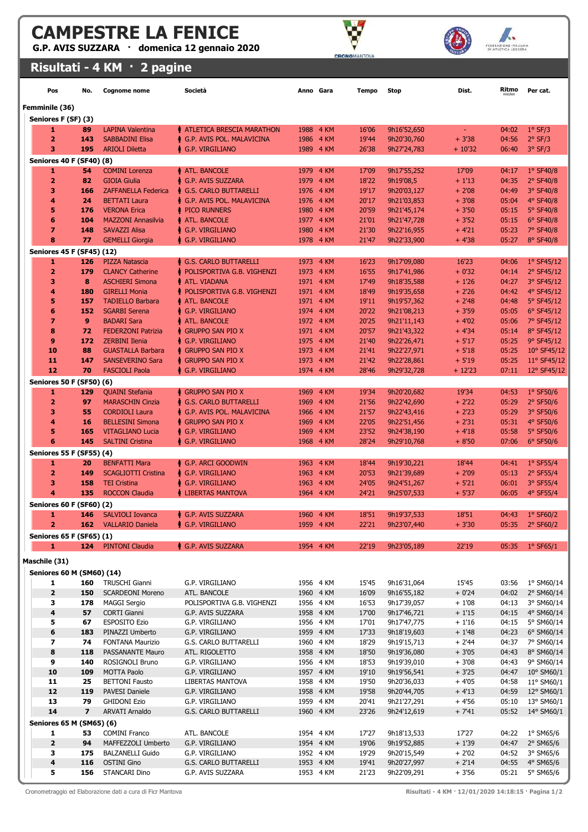G.P. AVIS SUZZARA · domenica 12 gennaio 2020



FIDERAZIONE ITALIANA

| Risultati - 4 KM · 2 pagine |  |
|-----------------------------|--|
|                             |  |

|               | Pos                                  | No.                     | <b>Cognome nome</b>                               | Società                                           | Anno Gara    |                        | Tempo          | <b>Stop</b>                | Dist.               | Ritmo<br>min/km | Per cat.                          |  |
|---------------|--------------------------------------|-------------------------|---------------------------------------------------|---------------------------------------------------|--------------|------------------------|----------------|----------------------------|---------------------|-----------------|-----------------------------------|--|
|               | Femminile (36)                       |                         |                                                   |                                                   |              |                        |                |                            |                     |                 |                                   |  |
|               | Seniores F (SF) (3)                  |                         |                                                   |                                                   |              |                        |                |                            |                     |                 |                                   |  |
|               | 1                                    | 89                      | <b>LAPINA Valentina</b>                           | <b>A ATLETICA BRESCIA MARATHON</b>                | 1988         | 4 KM                   | 16'06          | 9h16'52,650                | $\omega_{\rm{eff}}$ | 04:02           | $1°$ SF/3                         |  |
|               | $\overline{2}$                       | 143                     | <b>SABBADINI Elisa</b>                            | ♦ G.P. AVIS POL. MALAVICINA                       | 1986         | 4 KM                   | 19'44          | 9h20'30,760                | $+3'38$             | 04:56           | $2°$ SF/3                         |  |
|               | 3<br><b>Seniores 40 F (SF40) (8)</b> | 195                     | <b>ARIOLI Diletta</b>                             | <b>G.P. VIRGILIANO</b>                            | 1989         | 4 KM                   | 26'38          | 9h27'24,783                | $+10'32$            | 06:40           | $3°$ SF/3                         |  |
|               | 1                                    | 54                      | <b>COMINI Lorenza</b>                             | <b>ATL. BANCOLE</b>                               | 1979         | 4 KM                   | 17'09          | 9h17'55,252                | 17'09               | 04:17           | $1°$ SF40/8                       |  |
|               | $\overline{2}$                       | 82                      | <b>GIOIA Giulia</b>                               | <b>6.P. AVIS SUZZARA</b>                          | 1979         | 4 KM                   | 18'22          | 9h19'08,5                  | $+1'13$             | 04:35           | 2° SF40/8                         |  |
|               | 3                                    | 166                     | <b>ZAFFANELLA Federica</b>                        | ♦ G.S. CARLO BUTTARELLI                           | 1976         | 4 KM                   | 19'17          | 9h20'03,127                | $+2'08$             | 04:49           | 3° SF40/8                         |  |
|               | 4                                    | 24                      | <b>BETTATI Laura</b>                              | ∲ G.P. AVIS POL. MALAVICINA                       | 1976         | 4 KM                   | 20'17          | 9h21'03,853                | $+3'08$             | 05:04           | 4° SF40/8                         |  |
|               | 5<br>6                               | 176                     | <b>VERONA Erica</b>                               | <b>PICO RUNNERS</b>                               | 1980         | 4 KM                   | 20'59          | 9h21'45,174                | $+3'50$             | 05:15           | 5° SF40/8                         |  |
|               | $\overline{\mathbf{z}}$              | 104<br>148              | <b>MAZZONI Annasilvia</b><br><b>SAVAZZI Alisa</b> | <b>ATL. BANCOLE</b><br>♠ G.P. VIRGILIANO          | 1977<br>1980 | 4 KM<br>4 KM           | 21'01<br>21'30 | 9h21'47,728<br>9h22'16,955 | $+3'52$<br>$+4'21$  | 05:15<br>05:23  | 6° SF40/8<br>7° SF40/8            |  |
|               | 8                                    | 77                      | <b>GEMELLI Giorgia</b>                            | <b>G.P. VIRGILIANO</b>                            | 1978         | 4 KM                   | 21'47          | 9h22'33,900                | $+4'38$             | 05:27           | 8° SF40/8                         |  |
|               | Seniores 45 F (SF45) (12)            |                         |                                                   |                                                   |              |                        |                |                            |                     |                 |                                   |  |
|               | 1                                    | 126                     | <b>PIZZA Natascia</b>                             | ♦ G.S. CARLO BUTTARELLI                           | 1973         | 4 KM                   | 16'23          | 9h17'09,080                | 16'23               | 04:06           | 1° SF45/12                        |  |
|               | $\overline{2}$                       | 179                     | <b>CLANCY Catherine</b>                           | POLISPORTIVA G.B. VIGHENZI<br>٠                   | 1973         | 4 KM                   | 16'55          | 9h17'41,986                | $+0'32$             | 04:14           | 2° SF45/12                        |  |
|               | 3                                    | 8                       | <b>ASCHIERI Simona</b>                            | <b>ATL. VIADANA</b>                               |              | 1971 4 KM              | 17'49          | 9h18'35,588                | $+1'26$             | 04:27           | 3° SF45/12                        |  |
|               | 4<br>5                               | 180                     | <b>GIRELLI Monia</b>                              | POLISPORTIVA G.B. VIGHENZI<br><b>ATL. BANCOLE</b> |              | 1971 4 KM              | 18'49<br>19'11 | 9h19'35,658<br>9h19'57,362 | $+2'26$             | 04:42           | 4° SF45/12                        |  |
|               | 6                                    | 157<br>152              | <b>TADIELLO Barbara</b><br><b>SGARBI Serena</b>   | ↑ G.P. VIRGILIANO                                 |              | 1971 4 KM<br>1974 4 KM | 20'22          | 9h21'08,213                | $+2'48$<br>$+3'59$  | 04:48<br>05:05  | 5° SF45/12<br>6° SF45/12          |  |
|               | 7                                    | 9                       | <b>BADARI Sara</b>                                | <b>ATL. BANCOLE</b>                               |              | 1972 4 KM              | 20'25          | 9h21'11,143                | $+4'02$             | 05:06           | 7° SF45/12                        |  |
|               | 8                                    | 72                      | <b>FEDERZONI Patrizia</b>                         | ♠ Gruppo san pio x                                |              | 1971 4 KM              | 20'57          | 9h21'43,322                | $+4'34$             | 05:14           | 8° SF45/12                        |  |
|               | 9                                    | 172                     | <b>ZERBINI Ilenia</b>                             | ♠ G.P. VIRGILIANO                                 |              | 1975 4 KM              | 21'40          | 9h22'26,471                | $+5'17$             | 05:25           | 9° SF45/12                        |  |
|               | 10                                   | 88                      | <b>GUASTALLA Barbara</b>                          | <b>GRUPPO SAN PIO X</b>                           | 1973         | 4 KM                   | 21'41          | 9h22'27,971                | $+5'18$             | 05:25           | 10° SF45/12                       |  |
|               | 11                                   | 147                     | <b>SANSEVERINO Sara</b>                           | <b>GRUPPO SAN PIO X</b><br>۰                      | 1973         | 4 KM                   | 21'42          | 9h22'28,861                | $+5'19$             | 05:25           | 11° SF45/12                       |  |
|               | 12                                   | 70                      | <b>FASCIOLI Paola</b>                             | ↑ G.P. VIRGILIANO                                 |              | 1974 4 KM              | 28'46          | 9h29'32,728                | $+12'23$            | 07:11           | 12° SF45/12                       |  |
|               | <b>Seniores 50 F (SF50) (6)</b><br>1 |                         |                                                   | <b>A</b> GRUPPO SAN PIO X                         |              | 4 KM                   | 19'34          |                            | 19'34               |                 | 1° SF50/6                         |  |
|               | $\overline{2}$                       | 129<br>97               | <b>QUAINI Stefania</b><br><b>MARASCHIN Cinzia</b> | ♦ G.S. CARLO BUTTARELLI                           | 1969<br>1969 | 4 KM                   | 21'56          | 9h20'20,682<br>9h22'42,690 | $+2'22$             | 04:53<br>05:29  | 2° SF50/6                         |  |
|               | 3                                    | 55                      | <b>CORDIOLI Laura</b>                             | <b>6.P. AVIS POL. MALAVICINA</b>                  | 1966         | 4 KM                   | 21'57          | 9h22'43,416                | $+2'23$             | 05:29           | 3° SF50/6                         |  |
|               | 4                                    | 16                      | <b>BELLESINI Simona</b>                           | <b>GRUPPO SAN PIO X</b>                           | 1969         | 4 KM                   | 22'05          | 9h22'51,456                | $+2'31$             | 05:31           | 4° SF50/6                         |  |
|               | 5                                    | 165                     | <b>VITAGLIANO Lucia</b>                           | ∲ G.P. VIRGILIANO                                 | 1969         | 4 KM                   | 23'52          | 9h24'38,190                | $+4'18$             | 05:58           | 5° SF50/6                         |  |
|               | 6                                    | 145                     | <b>SALTINI Cristina</b>                           | <b>G.P. VIRGILIANO</b>                            | 1968         | 4 KM                   | 28'24          | 9h29'10,768                | $+8'50$             | 07:06           | 6° SF50/6                         |  |
|               | <b>Seniores 55 F (SF55) (4)</b>      |                         |                                                   |                                                   |              |                        |                |                            |                     |                 |                                   |  |
|               | 1                                    | 20                      | <b>BENFATTI Mara</b>                              | ↑ G.P. ARCI GOODWIN                               | 1963         | 4 KM                   | 18'44          | 9h19'30,221                | 18'44               | 04:41           | $1°$ SF55/4                       |  |
|               | $\overline{2}$<br>3                  | 149<br>158              | <b>SCAGLIOTTI Cristina</b><br><b>TEI Cristina</b> | <b>G.P. VIRGILIANO</b><br>٠<br>↑ G.P. VIRGILIANO  | 1963         | 4 KM<br>1963 4 KM      | 20'53<br>24'05 | 9h21'39,689<br>9h24'51,267 | $+2'09$<br>$+5'21$  | 05:13<br>06:01  | 2° SF55/4<br>3° SF55/4            |  |
|               | 4                                    | 135                     | <b>ROCCON Claudia</b>                             | <b>LIBERTAS MANTOVA</b>                           |              | 1964 4 KM              | 24'21          | 9h25'07,533                | $+5'37$             | 06:05           | 4° SF55/4                         |  |
|               | <b>Seniores 60 F (SF60) (2)</b>      |                         |                                                   |                                                   |              |                        |                |                            |                     |                 |                                   |  |
|               | 1                                    | 146                     | <b>SALVIOLI Iovanca</b>                           | ∲ G.P. AVIS SUZZARA                               | 1960         | 4 KM                   | 18'51          | 9h19'37,533                | 18'51               | 04:43           | $1°$ SF60/2                       |  |
|               | $\overline{2}$                       | 162                     | <b>VALLARIO Daniela</b>                           | ♠ G.P. VIRGILIANO                                 |              | 1959 4 KM              | 22'21          | 9h23'07,440                | $+3'30$             | 05:35           | 2° SF60/2                         |  |
|               | Seniores 65 F (SF65) (1)             |                         |                                                   |                                                   |              |                        |                |                            |                     |                 |                                   |  |
|               | 1                                    | 124                     | <b>PINTONI Claudia</b>                            | ♦ G.P. AVIS SUZZARA                               |              | 1954 4 KM              | 22'19          | 9h23'05,189                | 22'19               | 05:35           | $1°$ SF65/1                       |  |
| Maschile (31) |                                      |                         |                                                   |                                                   |              |                        |                |                            |                     |                 |                                   |  |
|               | <b>Seniores 60 M (SM60) (14)</b>     |                         |                                                   |                                                   |              |                        |                |                            |                     |                 |                                   |  |
|               | 1                                    | 160                     | TRUSCHI Gianni                                    | G.P. VIRGILIANO                                   |              | 1956 4 KM              | 15'45          | 9h16'31,064                | 15'45               | 03:56           | 1° SM60/14                        |  |
|               | $\mathbf{2}$                         | 150                     | <b>SCARDEONI Moreno</b>                           | ATL. BANCOLE                                      |              | 1960 4 KM              | 16'09          | 9h16'55,182                | $+0'24$             | 04:02           | 2° SM60/14                        |  |
|               | з<br>4                               | 178<br>57               | <b>MAGGI Sergio</b><br><b>CORTI Gianni</b>        | POLISPORTIVA G.B. VIGHENZI<br>G.P. AVIS SUZZARA   |              | 1956 4 KM<br>1958 4 KM | 16'53<br>17'00 | 9h17'39,057<br>9h17'46,721 | $+1'08$<br>$+1'15$  | 04:13<br>04:15  | 3° SM60/14<br>4° SM60/14          |  |
|               | 5                                    | 67                      | <b>ESPOSITO Ezio</b>                              | G.P. VIRGILIANO                                   |              | 1956 4 KM              | 17'01          | 9h17'47,775                | $+1'16$             | 04:15           | 5° SM60/14                        |  |
|               | 6                                    | 183                     | PINAZZI Umberto                                   | G.P. VIRGILIANO                                   |              | 1959 4 KM              | 17'33          | 9h18'19,603                | $+1'48$             | 04:23           | 6° SM60/14                        |  |
|               | 7                                    | 74                      | FONTANA Maurizio                                  | G.S. CARLO BUTTARELLI                             |              | 1960 4 KM              | 18'29          | 9h19'15,713                | $+2'44$             | 04:37           | 7° SM60/14                        |  |
|               | 8                                    | 118                     | PASSANANTE Mauro                                  | ATL. RIGOLETTO                                    |              | 1958 4 KM              | 18'50          | 9h19'36,080                | $+3'05$             | 04:43           | 8° SM60/14                        |  |
|               | 9                                    | 140                     | ROSIGNOLI Bruno                                   | G.P. VIRGILIANO                                   |              | 1956 4 KM              | 18'53          | 9h19'39,010                | $+3'08$             | 04:43           | 9° SM60/14                        |  |
|               | 10<br>11                             | 109<br>25               | <b>MOTTA Paolo</b><br><b>BETTONI Fausto</b>       | G.P. VIRGILIANO<br>LIBERTAS MANTOVA               |              | 1957 4 KM<br>1958 4 KM | 19'10<br>19'50 | 9h19'56,541<br>9h20'36,033 | $+3'25$<br>$+4'05$  | 04:47<br>04:58  | $10^{\circ}$ SM60/1<br>11° SM60/1 |  |
|               | 12                                   | 119                     | PAVESI Daniele                                    | G.P. VIRGILIANO                                   |              | 1958 4 KM              | 19'58          | 9h20'44,705                | $+4'13$             | 04:59           | 12° SM60/1                        |  |
|               | 13                                   | 79                      | <b>GHIDONI Ezio</b>                               | G.P. VIRGILIANO                                   |              | 1959 4 KM              | 20'41          | 9h21'27,291                | $+4'56$             | 05:10           | 13° SM60/1                        |  |
|               | 14                                   | $\overline{\mathbf{z}}$ | <b>ARVATI Arnaldo</b>                             | G.S. CARLO BUTTARELLI                             |              | 1960 4 KM              | 23'26          | 9h24'12,619                | $+ 7'41$            | 05:52           | 14° SM60/1                        |  |
|               | <b>Seniores 65 M (SM65) (6)</b>      |                         |                                                   |                                                   |              |                        |                |                            |                     |                 |                                   |  |
|               | 1                                    | 53                      | <b>COMINI Franco</b>                              | ATL. BANCOLE                                      |              | 1954 4 KM              | 17'27          | 9h18'13,533                | 17'27               | 04:22           | 1° SM65/6                         |  |
|               | $\mathbf{2}$                         | 94                      | MAFFEZZOLI Umberto                                | G.P. VIRGILIANO                                   |              | 1954 4 KM              | 19'06          | 9h19'52,885                | $+1'39$             | 04:47           | $2°$ SM65/6                       |  |
|               | з                                    | 175                     | <b>BALZANELLI Guido</b>                           | G.P. VIRGILIANO                                   |              | 1952 4 KM              | 19'29          | 9h20'15,549                | $+2'02$             | 04:52           | 3° SM65/6                         |  |
|               | 4<br>5                               | 116<br>156              | <b>OSTINI Gino</b><br>STANCARI Dino               | G.S. CARLO BUTTARELLI                             |              | 1953 4 KM              | 19'41<br>21'23 | 9h20'27,997                | $+2'14$             | 04:55<br>05:21  | 4° SM65/6                         |  |
|               |                                      |                         |                                                   | G.P. AVIS SUZZARA                                 |              | 1953 4 KM              |                | 9h22'09,291                | $+3'56$             |                 | 5° SM65/6                         |  |

Cronometraggio ed Elaborazione dati a cura di Ficr Mantova **Risultati - 4 KM · 12/01/2020 14:18:15 · Pagina 1/2**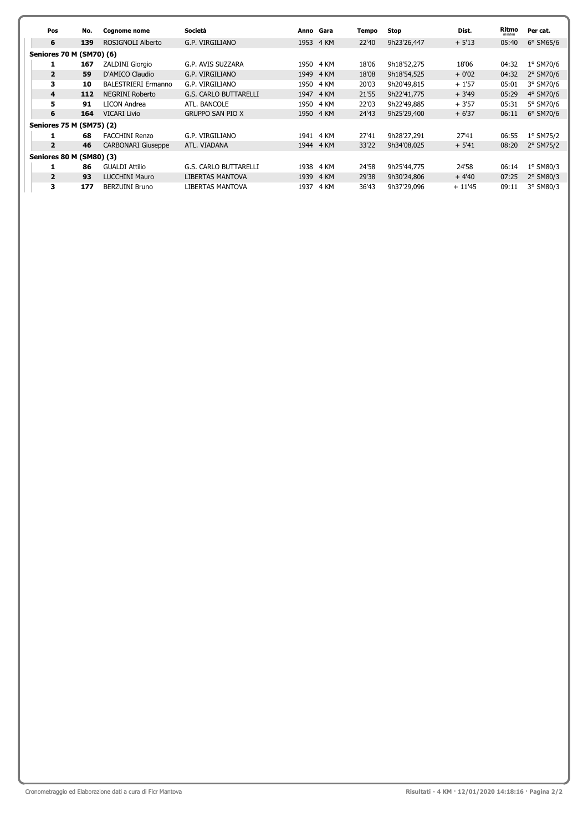| Pos            | No.                             | <b>Cognome nome</b>        | Società                      |      | Anno Gara | Tempo | <b>Stop</b> | Dist.    | Ritmo           | Per cat.           |
|----------------|---------------------------------|----------------------------|------------------------------|------|-----------|-------|-------------|----------|-----------------|--------------------|
| 6              | 139                             | ROSIGNOLI Alberto          | G.P. VIRGILIANO              |      | 1953 4 KM | 22'40 | 9h23'26,447 | $+5'13$  | min/km<br>05:40 | $6°$ SM65/6        |
|                | Seniores 70 M (SM70) (6)        |                            |                              |      |           |       |             |          |                 |                    |
|                | 167                             | <b>ZALDINI Giorgio</b>     | G.P. AVIS SUZZARA            | 1950 | 4 KM      | 18'06 | 9h18'52,275 | 18'06    | 04:32           | 1° SM70/6          |
| $\overline{2}$ | 59                              | D'AMICO Claudio            | G.P. VIRGILIANO              |      | 1949 4 KM | 18'08 | 9h18'54,525 | $+0'02$  | 04:32           | 2° SM70/6          |
| 3              | 10                              | <b>BALESTRIERI Ermanno</b> | G.P. VIRGILIANO              | 1950 | 4 KM      | 20'03 | 9h20'49,815 | $+1'57$  | 05:01           | 3° SM70/6          |
| 4              | 112                             | NEGRINI Roberto            | <b>G.S. CARLO BUTTARELLI</b> | 1947 | 4 KM      | 21'55 | 9h22'41,775 | $+3'49$  | 05:29           | 4° SM70/6          |
| 5              | 91                              | LICON Andrea               | ATL, BANCOLE                 | 1950 | 4 KM      | 22'03 | 9h22'49.885 | $+3'57$  | 05:31           | 5° SM70/6          |
| 6              | 164                             | <b>VICARI Livio</b>        | <b>GRUPPO SAN PIO X</b>      |      | 1950 4 KM | 24'43 | 9h25'29,400 | $+6'37$  | 06:11           | $6^{\circ}$ SM70/6 |
|                | Seniores 75 M (SM75) (2)        |                            |                              |      |           |       |             |          |                 |                    |
|                | 68                              | <b>FACCHINI Renzo</b>      | G.P. VIRGILIANO              | 1941 | 4 KM      | 27'41 | 9h28'27,291 | 27'41    | 06:55           | 1° SM75/2          |
| $\overline{2}$ | 46                              | <b>CARBONARI Giuseppe</b>  | ATL. VIADANA                 |      | 1944 4 KM | 33'22 | 9h34'08.025 | $+5'41$  | 08:20           | 2° SM75/2          |
|                | <b>Seniores 80 M (SM80) (3)</b> |                            |                              |      |           |       |             |          |                 |                    |
|                | 86                              | <b>GUALDI Attilio</b>      | <b>G.S. CARLO BUTTARELLI</b> | 1938 | 4 KM      | 24'58 | 9h25'44,775 | 24'58    | 06:14           | $1°$ SM80/3        |
| $\overline{2}$ | 93                              | <b>LUCCHINI Mauro</b>      | <b>LIBERTAS MANTOVA</b>      | 1939 | 4 KM      | 29'38 | 9h30'24,806 | $+4'40$  | 07:25           | 2° SM80/3          |
| 3              | 177                             | <b>BERZUINI Bruno</b>      | LIBERTAS MANTOVA             | 1937 | 4 KM      | 36'43 | 9h37'29,096 | $+11'45$ | 09:11           | 3° SM80/3          |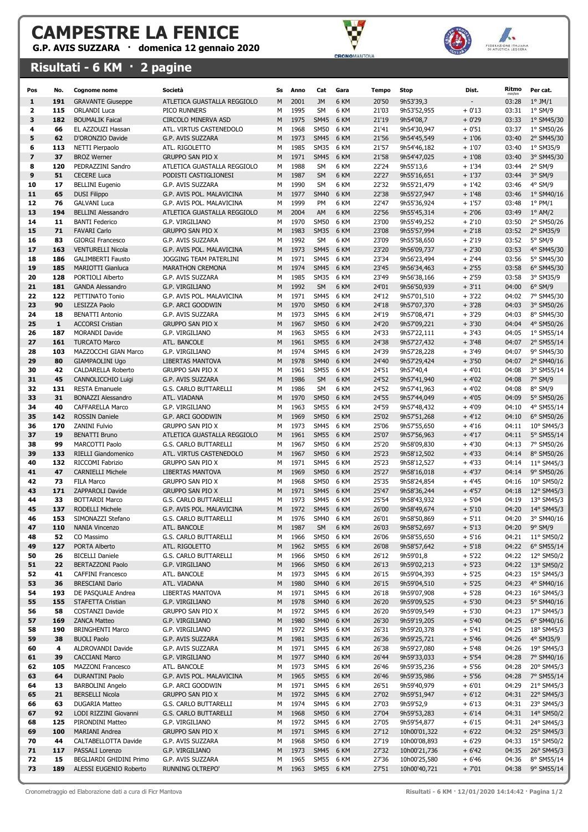G.P. AVIS SUZZARA · domenica 12 gennaio 2020

### Risultati - 6 KM · 2 pagine





| Pos                     | No.          | <b>Cognome nome</b>                               | Società                                                | Ss     | Anno         | Cat                        | Gara         | Tempo          | <b>Stop</b>                | Dist.              | Ritmo          | Per cat.                 |
|-------------------------|--------------|---------------------------------------------------|--------------------------------------------------------|--------|--------------|----------------------------|--------------|----------------|----------------------------|--------------------|----------------|--------------------------|
| 1                       | 191          | <b>GRAVANTE Giuseppe</b>                          | ATLETICA GUASTALLA REGGIOLO                            | M      | 2001         | JM                         | 6 KM         | 20'50          | 9h53'39,3                  |                    | 03:28          | $1^{\circ}$ JM/1         |
| $\overline{\mathbf{2}}$ | 115          | <b>ORLANDI Luca</b>                               | PICO RUNNERS                                           | М      | 1995         | SM                         | 6 KM         | 21'03          | 9h53'52,955                | $+0'13$            | 03:31          | $1°$ SM/9                |
| 3                       | 182          | <b>BOUMALIK Faical</b>                            | CIRCOLO MINERVA ASD                                    | M      | 1975         | <b>SM45</b>                | 6 KM         | 21'19          | 9h54'08,7                  | $+0'29$            | 03:33          | 1° SM45/30               |
| 4                       | 66           | EL AZZOUZI Hassan                                 | ATL. VIRTUS CASTENEDOLO                                | М      | 1968         | <b>SM50</b>                | 6 KM         | 21'41          | 9h54'30,947                | $+0'51$            | 03:37          | 1° SM50/26               |
| 5                       | 62           | D'ORONZIO Davide                                  | G.P. AVIS SUZZARA                                      | M      | 1973         | <b>SM45</b>                | 6 KM         | 21'56          | 9h54'45,549                | $+1'06$            | 03:40          | 2° SM45/30               |
| 6                       | 113          | NETTI Pierpaolo                                   | ATL. RIGOLETTO                                         | М      | 1985         | <b>SM35</b>                | 6 KM         | 21'57          | 9h54'46,182                | $+1'07$            | 03:40          | 1° SM35/9                |
| $\overline{\mathbf{z}}$ | 37           | <b>BROZ Werner</b>                                | <b>GRUPPO SAN PIO X</b>                                | M      | 1971<br>1988 | <b>SM45</b>                | 6 KM         | 21'58          | 9h54'47,025                | $+1'08$            | 03:40          | 3° SM45/30               |
| 8<br>9                  | 120<br>51    | PEDRAZZINI Sandro<br><b>CECERE Luca</b>           | ATLETICA GUASTALLA REGGIOLO<br>PODISTI CASTIGLIONESI   | М<br>M | 1987         | <b>SM</b><br><b>SM</b>     | 6 KM<br>6 KM | 22'24<br>22'27 | 9h55'13,6<br>9h55'16,651   | $+1'34$<br>$+1'37$ | 03:44<br>03:44 | $2°$ SM/9<br>3° SM/9     |
| 10                      | 17           | <b>BELLINI Eugenio</b>                            | G.P. AVIS SUZZARA                                      | М      | 1990         | SM                         | 6 KM         | 22'32          | 9h55'21,479                | $+1'42$            | 03:46          | 4° SM/9                  |
| 11                      | 65           | <b>DUSI Filippo</b>                               | G.P. AVIS POL. MALAVICINA                              | M      | 1977         | <b>SM40</b>                | 6 KM         | 22'38          | 9h55'27,947                | $+1'48$            | 03:46          | 1° SM40/16               |
| 12                      | 76           | <b>GALVANI Luca</b>                               | G.P. AVIS POL. MALAVICINA                              | М      | 1999         | PM                         | 6 KM         | 22'47          | 9h55'36,924                | $+1'57$            | 03:48          | $1^{\circ}$ PM/1         |
| 13                      | 194          | <b>BELLINI Alessandro</b>                         | ATLETICA GUASTALLA REGGIOLO                            | M      | 2004         | AM                         | 6 KM         | 22'56          | 9h55'45,314                | $+2'06$            | 03:49          | $1^{\circ}$ AM/2         |
| 14                      | 11           | <b>BANTI Federico</b>                             | G.P. VIRGILIANO                                        | М      | 1970         | <b>SM50</b>                | 6 KM         | 23'00          | 9h55'49,252                | $+2'10$            | 03:50          | 2° SM50/26               |
| 15                      | 71           | <b>FAVARI Carlo</b>                               | <b>GRUPPO SAN PIO X</b>                                | M      | 1983         | <b>SM35</b>                | 6 KM         | 23'08          | 9h55'57,994                | $+2'18$            | 03:52          | 2° SM35/9                |
| 16                      | 83           | <b>GIORGI Francesco</b>                           | G.P. AVIS SUZZARA                                      | М      | 1992         | <b>SM</b>                  | 6 KM         | 23'09          | 9h55'58,650                | $+2'19$            | 03:52          | 5° SM/9                  |
| 17                      | 163          | <b>VENTURELLI Nicola</b>                          | G.P. AVIS POL. MALAVICINA                              | M      | 1973         | <b>SM45</b>                | 6 KM         | 23'20          | 9h56'09,737                | $+2'30$            | 03:53          | 4° SM45/30               |
| 18                      | 186          | <b>GALIMBERTI Fausto</b>                          | JOGGING TEAM PATERLINI                                 | М      | 1971         | <b>SM45</b>                | 6 KM         | 23'34          | 9h56'23,494                | $+2'44$            | 03:56          | 5° SM45/30               |
| 19                      | 185          | <b>MARIOTTI Gianluca</b>                          | <b>MARATHON CREMONA</b>                                | M      | 1974         | <b>SM45</b>                | 6 KM         | 23'45          | 9h56'34,463                | $+2'55$            | 03:58          | 6° SM45/30               |
| 20                      | 128          | PORTIOLI Alberto                                  | G.P. AVIS SUZZARA                                      | М      | 1985         | <b>SM35</b>                | 6 KM         | 23'49          | 9h56'38,166                | $+2'59$            | 03:58          | 3° SM35/9                |
| 21                      | 181          | <b>GANDA Alessandro</b>                           | G.P. VIRGILIANO                                        | M      | 1992         | <b>SM</b>                  | 6 KM         | 24'01          | 9h56'50,939                | $+3'11$            | 04:00          | $6^{\circ}$ SM/9         |
| 22<br>23                | 122<br>90    | PETTINATO Tonio<br><b>LESIZZA Paolo</b>           | G.P. AVIS POL. MALAVICINA                              | М<br>M | 1971<br>1970 | <b>SM45</b><br><b>SM50</b> | 6 KM<br>6 KM | 24'12<br>24'18 | 9h57'01,510                | $+3'22$            | 04:02<br>04:03 | 7° SM45/30               |
| 24                      | 18           | <b>BENATTI Antonio</b>                            | G.P. ARCI GOODWIN<br>G.P. AVIS SUZZARA                 | М      | 1973         | <b>SM45</b>                | 6 KM         | 24'19          | 9h57'07,370<br>9h57'08,471 | $+3'28$<br>$+3'29$ | 04:03          | 3° SM50/26<br>8° SM45/30 |
| 25                      | $\mathbf{1}$ | <b>ACCORSI Cristian</b>                           | <b>GRUPPO SAN PIO X</b>                                | M      | 1967         | <b>SM50</b>                | 6 KM         | 24'20          | 9h57'09,221                | $+3'30$            | 04:04          | 4° SM50/26               |
| 26                      | 187          | <b>MORANDI Davide</b>                             | G.P. VIRGILIANO                                        | М      | 1963         | <b>SM55</b>                | 6 KM         | 24'33          | 9h57'22,111                | $+3'43$            | 04:05          | 1° SM55/14               |
| 27                      | 161          | <b>TURCATO Marco</b>                              | ATL. BANCOLE                                           | M      | 1961         | <b>SM55</b>                | 6 KM         | 24'38          | 9h57'27,432                | $+3'48$            | 04:07          | 2° SM55/14               |
| 28                      | 103          | MAZZOCCHI GIAN Marco                              | G.P. VIRGILIANO                                        | М      | 1974         | SM45 6 KM                  |              | 24'39          | 9h57'28,228                | $+3'49$            | 04:07          | 9° SM45/30               |
| 29                      | 80           | <b>GIAMPAOLINI Ugo</b>                            | <b>LIBERTAS MANTOVA</b>                                | M      | 1978         | <b>SM40</b>                | 6 KM         | 24'40          | 9h57'29,424                | $+3'50$            | 04:07          | 2° SM40/16               |
| 30                      | 42           | CALDARELLA Roberto                                | <b>GRUPPO SAN PIO X</b>                                | М      | 1961         | <b>SM55</b>                | 6 KM         | 24'51          | 9h57'40,4                  | $+4'01$            | 04:08          | 3° SM55/14               |
| 31                      | 45           | CANNOLICCHIO Luigi                                | G.P. AVIS SUZZARA                                      | M      | 1986         | <b>SM</b>                  | 6 KM         | 24'52          | 9h57'41,940                | $+4'02$            | 04:08          | 7° SM/9                  |
| 32                      | 131          | <b>RESTA Emanuele</b>                             | G.S. CARLO BUTTARELLI                                  | М      | 1986         | <b>SM</b>                  | 6 KM         | 24'52          | 9h57'41,963                | $+4'02$            | 04:08          | 8° SM/9                  |
| 33                      | 31           | <b>BONAZZI Alessandro</b>                         | ATL. VIADANA                                           | M      | 1970         | <b>SM50</b>                | 6 KM         | 24'55          | 9h57'44,049                | $+4'05$            | 04:09          | 5° SM50/26               |
| 34                      | 40           | CAFFARELLA Marco                                  | G.P. VIRGILIANO                                        | М      | 1963         | <b>SM55</b>                | 6 KM         | 24'59          | 9h57'48,432                | $+4'09$            | 04:10          | 4° SM55/14               |
| 35                      | 142          | <b>ROSSIN Daniele</b>                             | G.P. ARCI GOODWIN                                      | M      | 1969         | <b>SM50</b>                | 6 KM         | 25'02          | 9h57'51,268                | $+4'12$            | 04:10          | 6° SM50/26               |
| 36<br>37                | 170<br>19    | <b>ZANINI Fulvio</b><br><b>BENATTI Bruno</b>      | <b>GRUPPO SAN PIO X</b><br>ATLETICA GUASTALLA REGGIOLO | М<br>M | 1973<br>1961 | <b>SM45</b><br><b>SM55</b> | 6 KM<br>6 KM | 25'06<br>25'07 | 9h57'55,650                | $+4'16$            | 04:11<br>04:11 | 10° SM45/3               |
| 38                      | 99           | MARCOTTI Paolo                                    | G.S. CARLO BUTTARELLI                                  | М      | 1967         | <b>SM50</b>                | 6 KM         | 25'20          | 9h57'56,963<br>9h58'09,830 | $+4'17$<br>$+4'30$ | 04:13          | 5° SM55/14<br>7° SM50/26 |
| 39                      | 133          | RIELLI Giandomenico                               | ATL. VIRTUS CASTENEDOLO                                | M      | 1967         | <b>SM50</b>                | 6 KM         | 25'23          | 9h58'12,502                | $+4'33$            | 04:14          | 8° SM50/26               |
| 40                      | 132          | RICCOMI Fabrizio                                  | <b>GRUPPO SAN PIO X</b>                                | М      | 1971         | <b>SM45</b>                | 6 KM         | 25'23          | 9h58'12,527                | $+4'33$            | 04:14          | 11° SM45/3               |
| 41                      | 47           | <b>CARNIELLI Michele</b>                          | LIBERTAS MANTOVA                                       | M      | 1969         | <b>SM50</b>                | 6 KM         | 25'27          | 9h58'16,018                | $+4'37$            | 04:14          | 9° SM50/26               |
| 42                      | 73           | FILA Marco                                        | <b>GRUPPO SAN PIO X</b>                                | М      | 1968         | <b>SM50</b>                | 6 KM         | 25'35          | 9h58'24,854                | $+4'45$            | 04:16          | 10° SM50/2               |
| 43                      | 171          | <b>ZAPPAROLI Davide</b>                           | <b>GRUPPO SAN PIO X</b>                                | M      | 1971         | <b>SM45</b>                | 6 KM         | 25'47          | 9h58'36,244                | $+4'57$            | 04:18          | 12° SM45/3               |
| 44                      | 33           | <b>BOTTARDI Marco</b>                             | <b>G.S. CARLO BUTTARELLI</b>                           | М      | 1973         | SM45                       | 6 KM         | 25'54          | 9h58'43,932                | $+5'04$            | 04:19          | 13° SM45/3               |
| 45                      | 137          | <b>RODELLI Michele</b>                            | G.P. AVIS POL. MALAVICINA                              | M      | 1972         | <b>SM45</b>                | 6 KM         | 26'00          | 9h58'49,674                | $+5'10$            | 04:20          | 14° SM45/3               |
| 46                      | 153          | SIMONAZZI Stefano                                 | <b>G.S. CARLO BUTTARELLI</b>                           | М      | 1976         | SM40 6 KM                  |              | 26'01          | 9h58'50,869                | $+5'11$            | 04:20          | 3° SM40/16               |
| 47                      | 110          | NANIA Vincenzo                                    | AIL. BANCOLE                                           | M      | 1987         | <b>SM</b>                  | 6 KM         | 26'03          | 9h58'52,69/                | + 5'13             | 04:20          | 9° SM/9                  |
| 48                      | 52           | CO Massimo                                        | G.S. CARLO BUTTARELLI                                  | М      | 1966         | SM50 6 KM                  |              | 26'06          | 9h58'55,650                | $+5'16$            | 04:21          | 11° SM50/2               |
| 49<br>50                | 127<br>26    | PORTA Alberto<br><b>BICELLI Daniele</b>           | ATL. RIGOLETTO<br>G.S. CARLO BUTTARELLI                | М<br>М | 1962<br>1966 | <b>SM55</b><br><b>SM50</b> | 6 KM<br>6 KM | 26'08<br>26'12 | 9h58'57,642<br>9h59'01,8   | $+5'18$<br>$+5'22$ | 04:22<br>04:22 | 6° SM55/14<br>12° SM50/2 |
| 51                      | 22           | <b>BERTAZZONI Paolo</b>                           | G.P. VIRGILIANO                                        | M      | 1966         | <b>SM50</b>                | 6 KM         | 26'13          | 9h59'02,213                | $+5'23$            | 04:22          | 13° SM50/2               |
| 52                      | 41           | <b>CAFFINI Francesco</b>                          | ATL. BANCOLE                                           | М      | 1973         | SM45 6 KM                  |              | 26'15          | 9h59'04,393                | $+5'25$            | 04:23          | 15° SM45/3               |
| 53                      | 36           | <b>BRESCIANI Dario</b>                            | ATL. VIADANA                                           | М      | 1980         | SM40 6 KM                  |              | 26'15          | 9h59'04,510                | $+5'25$            | 04:23          | 4° SM40/16               |
| 54                      | 193          | DE PASQUALE Andrea                                | LIBERTAS MANTOVA                                       | м      | 1971         | SM45 6 KM                  |              | 26'18          | 9h59'07,908                | $+5'28$            | 04:23          | 16° SM45/3               |
| 55                      | 155          | STAFETTA Cristian                                 | G.P. VIRGILIANO                                        | М      | 1978         | <b>SM40</b>                | 6 KM         | 26'20          | 9h59'09,525                | $+5'30$            | 04:23          | 5° SM40/16               |
| 56                      | 58           | COSTANZI Davide                                   | <b>GRUPPO SAN PIO X</b>                                | м      | 1972         | SM45 6 KM                  |              | 26'20          | 9h59'09,549                | $+5'30$            | 04:23          | 17° SM45/3               |
| 57                      | 169          | <b>ZANCA Matteo</b>                               | G.P. VIRGILIANO                                        | М      | 1980         | <b>SM40</b>                | 6 KM         | 26'30          | 9h59'19,205                | $+5'40$            | 04:25          | 6° SM40/16               |
| 58                      | 190          | <b>BRINGHENTI Marco</b>                           | G.P. VIRGILIANO                                        | м      | 1972         |                            | SM45 6 KM    | 26'31          | 9h59'20,378                | $+5'41$            | 04:25          | 18° SM45/3               |
| 59                      | 38           | <b>BUOLI Paolo</b>                                | G.P. AVIS SUZZARA                                      | М      | 1981         | <b>SM35</b>                | 6 KM         | 26'36          | 9h59'25,721                | $+5'46$            | 04:26          | 4° SM35/9                |
| 60<br>61                | 4<br>39      | ALDROVANDI Davide                                 | G.P. AVIS SUZZARA<br>G.P. VIRGILIANO                   | м<br>М | 1971<br>1977 | SM45 6 KM<br><b>SM40</b>   | 6 KM         | 26'38<br>26'44 | 9h59'27,080<br>9h59'33,033 | $+5'48$            | 04:26<br>04:28 | 19° SM45/3<br>7° SM40/16 |
| 62                      | 105          | <b>CACCIANI Marco</b><br><b>MAZZONI Francesco</b> | ATL. BANCOLE                                           | М      | 1973         | SM45 6 KM                  |              | 26'46          | 9h59'35,236                | $+5'54$<br>$+5'56$ | 04:28          | 20° SM45/3               |
| 63                      | 64           | <b>DURANTINI Paolo</b>                            | G.P. AVIS POL. MALAVICINA                              | М      | 1965         | SM55 6 KM                  |              | 26'46          | 9h59'35,986                | $+5'56$            | 04:28          | 7° SM55/14               |
| 64                      | 13           | <b>BARBOLINI Angelo</b>                           | G.P. ARCI GOODWIN                                      | м      | 1971         | SM45 6 KM                  |              | 26'51          | 9h59'40,979                | $+6'01$            | 04:29          | 21° SM45/3               |
| 65                      | 21           | <b>BERSELLI Nicola</b>                            | <b>GRUPPO SAN PIO X</b>                                | М      | 1972         | SM45 6 KM                  |              | 27'02          | 9h59'51,947                | $+6'12$            | 04:31          | 22° SM45/3               |
| 66                      | 63           | <b>DUGARIA Matteo</b>                             | G.S. CARLO BUTTARELLI                                  | М      | 1974         | SM45 6 KM                  |              | 27'03          | 9h59'52,9                  | $+6'13$            | 04:31          | 23° SM45/3               |
| 67                      | 92           | LODI RIZZINI Giovanni                             | G.S. CARLO BUTTARELLI                                  | M      | 1968         | SM50 6 KM                  |              | 27'04          | 9h59'53,283                | $+6'14$            | 04:31          | 14° SM50/2               |
| 68                      | 125          | PIRONDINI Matteo                                  | G.P. VIRGILIANO                                        | М      | 1972         | SM45 6 KM                  |              | 27'05          | 9h59'54,877                | $+6'15$            | 04:31          | 24° SM45/3               |
| 69                      | 100          | MARIANI Andrea                                    | <b>GRUPPO SAN PIO X</b>                                | М      | 1971         | SM45 6 KM                  |              | 27'12          | 10h00'01,322               | $+6'22$            | 04:32          | 25° SM45/3               |
| 70                      | 44           | CALTABELLOTTA Davide                              | G.P. AVIS SUZZARA                                      | м      | 1968         | <b>SM50</b>                | 6 KM         | 27'19          | 10h00'08,893               | $+6'29$            | 04:33          | 15° SM50/2               |
| 71                      | 117          | PASSALI Lorenzo                                   | G.P. VIRGILIANO                                        | М      | 1973         | SM45 6 KM                  |              | 27'32          | 10h00'21,736               | $+6'42$            | 04:35          | 26° SM45/3               |
| 72                      | 15           | BEGLIARDI GHIDINI Primo                           | G.P. AVIS SUZZARA                                      | м      | 1965         | SM55 6 KM                  |              | 27'36          | 10h00'25,580               | $+6'46$            | 04:36          | 8° SM55/14               |
| 73                      | 189          | ALESSI EUGENIO Roberto                            | RUNNING OLTREPO'                                       | М      | 1963         | SM55 6 KM                  |              | 27'51          | 10h00'40,721               | $+7'01$            | 04:38          | 9° SM55/14               |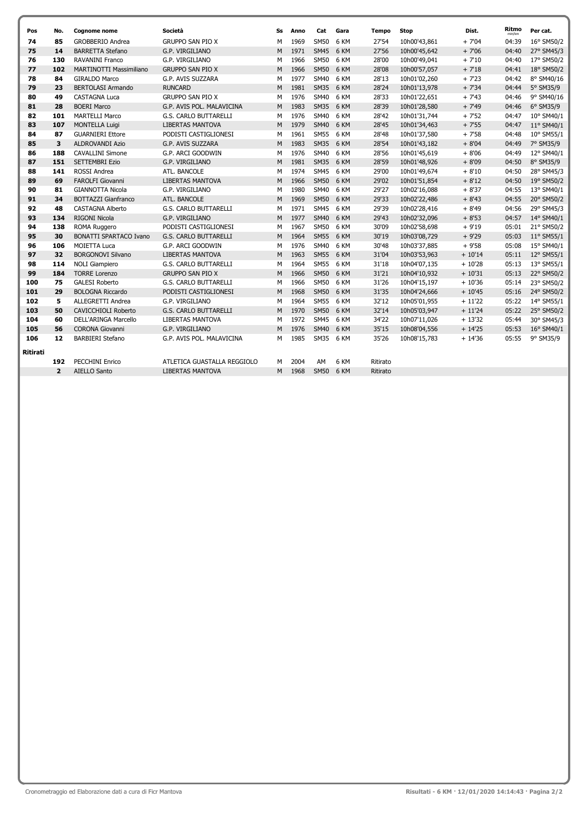| Pos             | No.            | <b>Cognome nome</b>            | Società                      | Ss | Anno | Cat         | Gara | Tempo    | <b>Stop</b>  | Dist.    | Ritmo | Per cat.   |
|-----------------|----------------|--------------------------------|------------------------------|----|------|-------------|------|----------|--------------|----------|-------|------------|
| 74              | 85             | <b>GROBBERIO Andrea</b>        | <b>GRUPPO SAN PIO X</b>      | М  | 1969 | <b>SM50</b> | 6 KM | 27'54    | 10h00'43,861 | $+7'04$  | 04:39 | 16° SM50/2 |
| 75              | 14             | <b>BARRETTA Stefano</b>        | G.P. VIRGILIANO              | M  | 1971 | <b>SM45</b> | 6 KM | 27'56    | 10h00'45.642 | $+7'06$  | 04:40 | 27° SM45/3 |
| 76              | 130            | RAVANINI Franco                | G.P. VIRGILIANO              | м  | 1966 | <b>SM50</b> | 6 KM | 28'00    | 10h00'49,041 | $+7'10$  | 04:40 | 17° SM50/2 |
| 77              | 102            | <b>MARTINOTTI Massimiliano</b> | <b>GRUPPO SAN PIO X</b>      | M  | 1966 | <b>SM50</b> | 6 KM | 28'08    | 10h00'57,057 | $+7'18$  | 04:41 | 18° SM50/2 |
| 78              | 84             | <b>GIRALDO Marco</b>           | G.P. AVIS SUZZARA            | M  | 1977 | <b>SM40</b> | 6 KM | 28'13    | 10h01'02,260 | $+7'23$  | 04:42 | 8° SM40/16 |
| 79              | 23             | <b>BERTOLASI Armando</b>       | <b>RUNCARD</b>               | M  | 1981 | <b>SM35</b> | 6 KM | 28'24    | 10h01'13,978 | $+7'34$  | 04:44 | 5° SM35/9  |
| 80              | 49             | <b>CASTAGNA Luca</b>           | <b>GRUPPO SAN PIO X</b>      | M  | 1976 | <b>SM40</b> | 6 KM | 28'33    | 10h01'22,651 | $+7'43$  | 04:46 | 9° SM40/16 |
| 81              | 28             | <b>BOERI Marco</b>             | G.P. AVIS POL. MALAVICINA    | M  | 1983 | <b>SM35</b> | 6 KM | 28'39    | 10h01'28,580 | $+7'49$  | 04:46 | 6° SM35/9  |
| 82              | 101            | <b>MARTELLI Marco</b>          | G.S. CARLO BUTTARELLI        | M  | 1976 | <b>SM40</b> | 6 KM | 28'42    | 10h01'31,744 | $+7'52$  | 04:47 | 10° SM40/1 |
| 83              | 107            | <b>MONTELLA Luigi</b>          | <b>LIBERTAS MANTOVA</b>      | M  | 1979 | <b>SM40</b> | 6 KM | 28'45    | 10h01'34,463 | $+7'55$  | 04:47 | 11° SM40/1 |
| 84              | 87             | <b>GUARNIERI Ettore</b>        | PODISTI CASTIGLIONESI        | М  | 1961 | <b>SM55</b> | 6 KM | 28'48    | 10h01'37,580 | $+7'58$  | 04:48 | 10° SM55/1 |
| 85              | 3              | <b>ALDROVANDI Azio</b>         | G.P. AVIS SUZZARA            | M  | 1983 | <b>SM35</b> | 6 KM | 28'54    | 10h01'43,182 | $+8'04$  | 04:49 | 7° SM35/9  |
| 86              | 188            | <b>CAVALLINI Simone</b>        | G.P. ARCI GOODWIN            | M  | 1976 | <b>SM40</b> | 6 KM | 28'56    | 10h01'45,619 | $+8'06$  | 04:49 | 12° SM40/1 |
| 87              | 151            | <b>SETTEMBRI Ezio</b>          | G.P. VIRGILIANO              | M  | 1981 | <b>SM35</b> | 6 KM | 28'59    | 10h01'48,926 | $+8'09$  | 04:50 | 8° SM35/9  |
| 88              | 141            | <b>ROSSI Andrea</b>            | ATL. BANCOLE                 | M  | 1974 | <b>SM45</b> | 6 KM | 29'00    | 10h01'49,674 | $+8'10$  | 04:50 | 28° SM45/3 |
| 89              | 69             | <b>FAROLFI Giovanni</b>        | <b>LIBERTAS MANTOVA</b>      | M  | 1966 | <b>SM50</b> | 6 KM | 29'02    | 10h01'51,854 | $+8'12$  | 04:50 | 19° SM50/2 |
| 90              | 81             | <b>GIANNOTTA Nicola</b>        | G.P. VIRGILIANO              | M  | 1980 | <b>SM40</b> | 6 KM | 29'27    | 10h02'16,088 | $+8'37$  | 04:55 | 13° SM40/1 |
| 91              | 34             | <b>BOTTAZZI Gianfranco</b>     | ATL. BANCOLE                 | M  | 1969 | <b>SM50</b> | 6 KM | 29'33    | 10h02'22,486 | $+8'43$  | 04:55 | 20° SM50/2 |
| 92              | 48             | <b>CASTAGNA Alberto</b>        | <b>G.S. CARLO BUTTARELLI</b> | М  | 1971 | <b>SM45</b> | 6 KM | 29'39    | 10h02'28,416 | $+8'49$  | 04:56 | 29° SM45/3 |
| 93              | 134            | <b>RIGONI Nicola</b>           | G.P. VIRGILIANO              | M  | 1977 | <b>SM40</b> | 6 KM | 29'43    | 10h02'32,096 | $+8'53$  | 04:57 | 14° SM40/1 |
| 94              | 138            | ROMA Ruggero                   | PODISTI CASTIGLIONESI        | м  | 1967 | <b>SM50</b> | 6 KM | 30'09    | 10h02'58,698 | $+9'19$  | 05:01 | 21° SM50/2 |
| 95              | 30             | <b>BONATTI SPARTACO Ivano</b>  | <b>G.S. CARLO BUTTARELLI</b> | M  | 1964 | SM55 6 KM   |      | 30'19    | 10h03'08,729 | $+9'29$  | 05:03 | 11° SM55/1 |
| 96              | 106            | <b>MOIETTA Luca</b>            | G.P. ARCI GOODWIN            | м  | 1976 | <b>SM40</b> | 6 KM | 30'48    | 10h03'37,885 | $+9'58$  | 05:08 | 15° SM40/1 |
| 97              | 32             | <b>BORGONOVI Silvano</b>       | <b>LIBERTAS MANTOVA</b>      | M  | 1963 | <b>SM55</b> | 6 KM | 31'04    | 10h03'53,963 | $+10'14$ | 05:11 | 12° SM55/1 |
| 98              | 114            | <b>NOLI Giampiero</b>          | G.S. CARLO BUTTARELLI        | М  | 1964 | <b>SM55</b> | 6 KM | 31'18    | 10h04'07,135 | $+10'28$ | 05:13 | 13° SM55/1 |
| 99              | 184            | <b>TORRE Lorenzo</b>           | <b>GRUPPO SAN PIO X</b>      | M  | 1966 | <b>SM50</b> | 6 KM | 31'21    | 10h04'10,932 | $+10'31$ | 05:13 | 22° SM50/2 |
| 100             | 75             | <b>GALESI Roberto</b>          | G.S. CARLO BUTTARELLI        | M  | 1966 | <b>SM50</b> | 6 KM | 31'26    | 10h04'15,197 | $+10'36$ | 05:14 | 23° SM50/2 |
| 101             | 29             | <b>BOLOGNA Riccardo</b>        | PODISTI CASTIGLIONESI        | M  | 1968 | <b>SM50</b> | 6 KM | 31'35    | 10h04'24,666 | $+10'45$ | 05:16 | 24° SM50/2 |
| 102             | 5              | <b>ALLEGRETTI Andrea</b>       | G.P. VIRGILIANO              | M  | 1964 | <b>SM55</b> | 6 KM | 32'12    | 10h05'01,955 | $+11'22$ | 05:22 | 14° SM55/1 |
| 103             | 50             | <b>CAVICCHIOLI Roberto</b>     | G.S. CARLO BUTTARELLI        | M  | 1970 | <b>SM50</b> | 6 KM | 32'14    | 10h05'03,947 | $+11'24$ | 05:22 | 25° SM50/2 |
| 104             | 60             | <b>DELL'ARINGA Marcello</b>    | <b>LIBERTAS MANTOVA</b>      | M  | 1972 | <b>SM45</b> | 6 KM | 34'22    | 10h07'11,026 | $+13'32$ | 05:44 | 30° SM45/3 |
| 105             | 56             | CORONA Giovanni                | G.P. VIRGILIANO              | M  | 1976 | <b>SM40</b> | 6 KM | 35'15    | 10h08'04,556 | $+14'25$ | 05:53 | 16° SM40/1 |
| 106             | 12             | <b>BARBIERI Stefano</b>        | G.P. AVIS POL. MALAVICINA    | М  | 1985 | SM35 6 KM   |      | 35'26    | 10h08'15,783 | $+14'36$ | 05:55 | 9° SM35/9  |
| <b>Ritirati</b> |                |                                |                              |    |      |             |      |          |              |          |       |            |
|                 | 192            | PECCHINI Enrico                | ATLETICA GUASTALLA REGGIOLO  | м  | 2004 | AM          | 6 KM | Ritirato |              |          |       |            |
|                 | $\overline{2}$ | <b>AIELLO Santo</b>            | <b>LIBERTAS MANTOVA</b>      | M  | 1968 | <b>SM50</b> | 6 KM | Ritirato |              |          |       |            |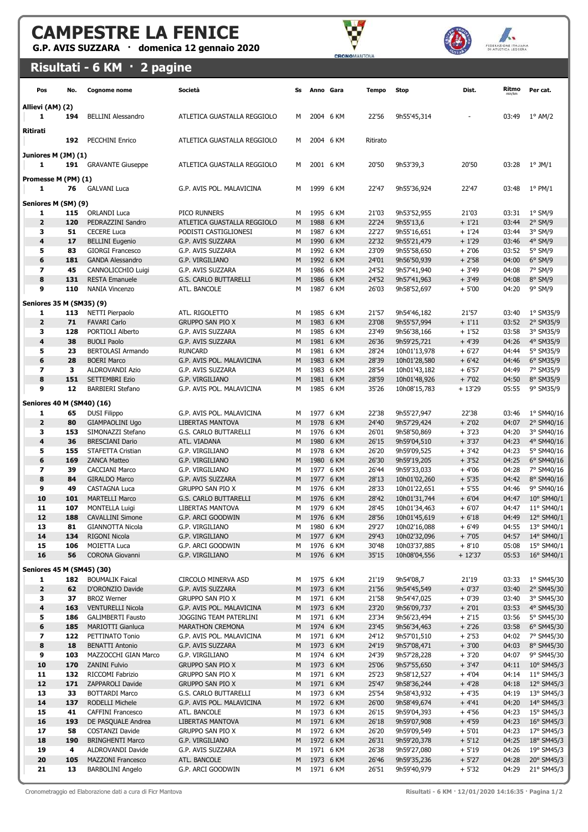G.P. AVIS SUZZARA · domenica 12 gennaio 2020





Risultati - 6 KM · 2 pagine

| Pos                            | No.        | <b>Cognome nome</b>                                  | Società                                              | Ss     | Anno Gara |                        | Tempo          | <b>Stop</b>                  | Dist.              | Ritmo<br>min/kn | Per cat.                 |
|--------------------------------|------------|------------------------------------------------------|------------------------------------------------------|--------|-----------|------------------------|----------------|------------------------------|--------------------|-----------------|--------------------------|
| Allievi (AM) (2)               |            |                                                      |                                                      |        |           |                        |                |                              |                    |                 |                          |
| 1                              | 194        | <b>BELLINI Alessandro</b>                            | ATLETICA GUASTALLA REGGIOLO                          | м      |           | 2004 6 KM              | 22'56          | 9h55'45,314                  |                    | 03:49           | $1^{\circ}$ AM/2         |
| Ritirati                       |            |                                                      |                                                      |        |           |                        |                |                              |                    |                 |                          |
|                                | 192        | <b>PECCHINI Enrico</b>                               | ATLETICA GUASTALLA REGGIOLO                          | м      |           | 2004 6 KM              | Ritirato       |                              |                    |                 |                          |
| Juniores M (JM) (1)            |            |                                                      |                                                      |        |           |                        |                |                              |                    |                 |                          |
| 1                              | 191        | <b>GRAVANTE Giuseppe</b>                             | ATLETICA GUASTALLA REGGIOLO                          | M      |           | 2001 6 KM              | 20'50          | 9h53'39,3                    | 20'50              | 03:28           | $1^{\circ}$ JM/1         |
| Promesse M (PM) (1)            |            |                                                      |                                                      |        |           |                        |                |                              |                    |                 |                          |
| 1                              | 76         | <b>GALVANI Luca</b>                                  | G.P. AVIS POL. MALAVICINA                            | м      |           | 1999 6 KM              | 22'47          | 9h55'36,924                  | 22'47              | 03:48           | $1^{\circ}$ PM/1         |
| Seniores M (SM) (9)            |            |                                                      |                                                      |        |           |                        |                |                              |                    |                 |                          |
| 1                              | 115        | <b>ORLANDI Luca</b>                                  | PICO RUNNERS                                         | м      |           | 1995 6 KM              | 21'03          | 9h53'52,955                  | 21'03              | 03:31           | $1°$ SM/9                |
| $\overline{\mathbf{2}}$<br>з   | 120<br>51  | PEDRAZZINI Sandro<br><b>CECERE Luca</b>              | ATLETICA GUASTALLA REGGIOLO<br>PODISTI CASTIGLIONESI | M<br>м |           | 1988 6 KM<br>1987 6 KM | 22'24<br>22'27 | 9h55'13,6<br>9h55'16,651     | $+1'21$<br>$+1'24$ | 03:44<br>03:44  | $2°$ SM/9<br>3° SM/9     |
| 4                              | 17         | <b>BELLINI Eugenio</b>                               | G.P. AVIS SUZZARA                                    | M      |           | 1990 6 KM              | 22'32          | 9h55'21,479                  | $+1'29$            | 03:46           | $4°$ SM/9                |
| 5                              | 83         | <b>GIORGI Francesco</b>                              | G.P. AVIS SUZZARA                                    | м      |           | 1992 6 KM              | 23'09          | 9h55'58,650                  | $+2'06$            | 03:52           | $5^{\circ}$ SM/9         |
| 6                              | 181        | <b>GANDA Alessandro</b>                              | G.P. VIRGILIANO                                      | M      |           | 1992 6 KM              | 24'01          | 9h56'50,939                  | $+2'58$            | 04:00           | $6°$ SM/9                |
| $\overline{ }$                 | 45         | CANNOLICCHIO Luigi                                   | G.P. AVIS SUZZARA                                    | м      |           | 1986 6 KM              | 24'52          | 9h57'41,940                  | $+3'49$            | 04:08           | 7° SM/9                  |
| 8                              | 131        | <b>RESTA Emanuele</b>                                | G.S. CARLO BUTTARELLI                                | M      |           | 1986 6 KM              | 24'52          | 9h57'41,963                  | $+3'49$            | 04:08           | $8°$ SM/9                |
| 9                              | 110        | <b>NANIA Vincenzo</b>                                | ATL. BANCOLE                                         | м      |           | 1987 6 KM              | 26'03          | 9h58'52,697                  | $+5'00$            | 04:20           | 9° SM/9                  |
| Seniores 35 M (SM35) (9)       |            |                                                      |                                                      |        |           |                        |                |                              |                    |                 |                          |
| 1                              | 113        | NETTI Pierpaolo                                      | ATL. RIGOLETTO                                       | м      |           | 1985 6 KM              | 21'57          | 9h54'46,182                  | 21'57              | 03:40           | 1° SM35/9                |
| $\overline{\mathbf{2}}$        | 71         | <b>FAVARI Carlo</b>                                  | <b>GRUPPO SAN PIO X</b>                              | M      |           | 1983 6 KM              | 23'08          | 9h55'57,994                  | $+1'11$            | 03:52           | 2° SM35/9                |
| з                              | 128        | PORTIOLI Alberto                                     | G.P. AVIS SUZZARA                                    | м      |           | 1985 6 KM              | 23'49          | 9h56'38,166                  | $+1'52$            | 03:58           | 3° SM35/9                |
| 4                              | 38         | <b>BUOLI Paolo</b>                                   | G.P. AVIS SUZZARA                                    | M      |           | 1981 6 KM              | 26'36          | 9h59'25,721                  | $+4'39$            | 04:26           | 4° SM35/9                |
| 5                              | 23         | <b>BERTOLASI Armando</b>                             | <b>RUNCARD</b>                                       | М      |           | 1981 6 KM              | 28'24          | 10h01'13,978                 | $+6'27$            | 04:44           | 5° SM35/9                |
| 6<br>$\overline{ }$            | 28<br>3    | <b>BOERI Marco</b><br>ALDROVANDI Azio                | G.P. AVIS POL. MALAVICINA<br>G.P. AVIS SUZZARA       | M<br>М |           | 1983 6 KM<br>1983 6 KM | 28'39<br>28'54 | 10h01'28,580<br>10h01'43,182 | $+6'42$<br>$+6'57$ | 04:46<br>04:49  | 6° SM35/9<br>7° SM35/9   |
| 8                              | 151        | <b>SETTEMBRI Ezio</b>                                | G.P. VIRGILIANO                                      | M      |           | 1981 6 KM              | 28'59          | 10h01'48,926                 | $+7'02$            | 04:50           | 8° SM35/9                |
| 9                              | 12         | <b>BARBIERI Stefano</b>                              | G.P. AVIS POL. MALAVICINA                            | M      |           | 1985 6 KM              | 35'26          | 10h08'15,783                 | $+13'29$           | 05:55           | 9° SM35/9                |
|                                |            |                                                      |                                                      |        |           |                        |                |                              |                    |                 |                          |
| Seniores 40 M (SM40) (16)<br>1 | 65         |                                                      | G.P. AVIS POL. MALAVICINA                            | м      |           | 1977 6 KM              | 22'38          | 9h55'27,947                  | 22'38              | 03:46           | 1° SM40/16               |
| $\overline{\mathbf{2}}$        | 80         | <b>DUSI Filippo</b><br><b>GIAMPAOLINI Ugo</b>        | LIBERTAS MANTOVA                                     | M      |           | 1978 6 KM              | 24'40          | 9h57'29,424                  | $+2'02$            | 04:07           | 2° SM40/16               |
| з                              | 153        | SIMONAZZI Stefano                                    | G.S. CARLO BUTTARELLI                                | м      |           | 1976 6 KM              | 26'01          | 9h58'50,869                  | $+3'23$            | 04:20           | 3° SM40/16               |
| 4                              | 36         | <b>BRESCIANI Dario</b>                               | ATL. VIADANA                                         | M      |           | 1980 6 KM              | 26'15          | 9h59'04,510                  | $+3'37$            | 04:23           | 4° SM40/16               |
| 5                              | 155        | STAFETTA Cristian                                    | G.P. VIRGILIANO                                      | м      |           | 1978 6 KM              | 26'20          | 9h59'09,525                  | $+3'42$            | 04:23           | 5° SM40/16               |
| 6                              | 169        | <b>ZANCA Matteo</b>                                  | G.P. VIRGILIANO                                      | M      |           | 1980 6 KM              | 26'30          | 9h59'19,205                  | $+3'52$            | 04:25           | 6° SM40/16               |
| 7                              | 39         | <b>CACCIANI Marco</b>                                | G.P. VIRGILIANO                                      | м      |           | 1977 6 KM              | 26'44          | 9h59'33,033                  | $+4'06$            | 04:28           | 7° SM40/16               |
| 8                              | 84         | <b>GIRALDO Marco</b>                                 | G.P. AVIS SUZZARA                                    | M      |           | 1977 6 KM              | 28'13          | 10h01'02,260                 | $+5'35$            | 04:42           | 8° SM40/16               |
| 9<br>10                        | 49<br>101  | <b>CASTAGNA Luca</b><br><b>MARTELLI Marco</b>        | <b>GRUPPO SAN PIO X</b><br>G.S. CARLO BUTTARELLI     | м<br>M |           | 1976 6 KM<br>1976 6 KM | 28'33<br>28'42 | 10h01'22,651<br>10h01'31,744 | + 5'55<br>$+6'04$  | 04:46<br>04:47  | 9° SM40/16<br>10° SM40/1 |
| 11                             | 107        | <b>MONTELLA Luigi</b>                                | <b>LIBERTAS MANTOVA</b>                              | M      |           | 1979 6 KM              | 28'45          | 10h01'34,463                 | $+6'07$            | 04:47           | 11° SM40/1               |
| 12                             | 188        | <b>CAVALLINI Simone</b>                              | G.P. ARCI GOODWIN                                    | M      |           | 1976 6 KM              | 28'56          | 10h01'45,619                 | $+6'18$            | 04:49           | 12° SM40/1               |
| 13                             | 81         | <b>GIANNOTTA Nicola</b>                              | G.P. VIRGILIANO                                      | M      |           | 1980 6 KM              | 29'27          | 10h02'16,088                 | + 6'49             | 04:55           | 13° SM40/1               |
| 14                             | 134        | <b>RIGONI Nicola</b>                                 | G.P. VIRGILIANO                                      | M      |           | 1977 6 KM              | 29'43          | 10h02'32,096                 | $+7'05$            | 04:57           | 14° SM40/1               |
| 15                             | 106        | MOIETTA Luca                                         | G.P. ARCI GOODWIN                                    | М      |           | 1976 6 KM              | 30'48          | 10h03'37,885                 | $+8'10$            | 05:08           | 15° SM40/1               |
| 16                             | 56         | <b>CORONA Giovanni</b>                               | G.P. VIRGILIANO                                      | M      |           | 1976 6 KM              | 35'15          | 10h08'04,556                 | $+12'37$           | 05:53           | 16° SM40/1               |
| Seniores 45 M (SM45) (30)      |            |                                                      |                                                      |        |           |                        |                |                              |                    |                 |                          |
| 1                              | 182        | <b>BOUMALIK Faical</b>                               | CIRCOLO MINERVA ASD                                  | м      |           | 1975 6 KM              | 21'19          | 9h54'08,7                    | 21'19              | 03:33           | 1° SM45/30               |
| 2                              | 62         | D'ORONZIO Davide                                     | G.P. AVIS SUZZARA                                    | M      |           | 1973 6 KM              | 21'56          | 9h54'45,549                  | $+0'37$            | 03:40           | 2° SM45/30               |
| З                              | 37         | <b>BROZ Werner</b>                                   | <b>GRUPPO SAN PIO X</b>                              | М      |           | 1971 6 KM              | 21'58          | 9h54'47,025                  | $+0'39$            | 03:40           | 3° SM45/30               |
| 4<br>5                         | 163<br>186 | <b>VENTURELLI Nicola</b><br><b>GALIMBERTI Fausto</b> | G.P. AVIS POL. MALAVICINA<br>JOGGING TEAM PATERLINI  | M<br>М |           | 1973 6 KM<br>1971 6 KM | 23'20<br>23'34 | 9h56'09,737<br>9h56'23,494   | $+2'01$<br>+ 2'15  | 03:53<br>03:56  | 4° SM45/30<br>5° SM45/30 |
| 6                              | 185        | MARIOTTI Gianluca                                    | <b>MARATHON CREMONA</b>                              | M      |           | 1974 6 KM              | 23'45          | 9h56'34,463                  | $+2'26$            | 03:58           | 6° SM45/30               |
| 7                              | 122        | PETTINATO Tonio                                      | G.P. AVIS POL. MALAVICINA                            | М      |           | 1971 6 KM              | 24'12          | 9h57'01,510                  | $+2'53$            | 04:02           | 7° SM45/30               |
| 8                              | 18         | <b>BENATTI Antonio</b>                               | G.P. AVIS SUZZARA                                    | M      |           | 1973 6 KM              | 24'19          | 9h57'08,471                  | $+3'00$            | 04:03           | 8° SM45/30               |
| 9                              | 103        | MAZZOCCHI GIAN Marco                                 | G.P. VIRGILIANO                                      | м      |           | 1974 6 KM              | 24'39          | 9h57'28,228                  | $+3'20$            | 04:07           | 9° SM45/30               |
| 10                             | 170        | <b>ZANINI Fulvio</b>                                 | <b>GRUPPO SAN PIO X</b>                              | M      |           | 1973 6 KM              | 25'06          | 9h57'55,650                  | $+3'47$            | 04:11           | 10° SM45/3               |
| 11                             | 132        | RICCOMI Fabrizio                                     | <b>GRUPPO SAN PIO X</b>                              | м      |           | 1971 6 KM              | 25'23          | 9h58'12,527                  | $+4'04$            | 04:14           | 11° SM45/3               |
| 12<br>13                       | 171<br>33  | ZAPPAROLI Davide<br><b>BOTTARDI Marco</b>            | <b>GRUPPO SAN PIO X</b><br>G.S. CARLO BUTTARELLI     | М<br>М |           | 1971 6 KM<br>1973 6 KM | 25'47<br>25'54 | 9h58'36,244<br>9h58'43,932   | $+4'28$<br>+ 4'35  | 04:18<br>04:19  | 12° SM45/3<br>13° SM45/3 |
| 14                             | 137        | RODELLI Michele                                      | G.P. AVIS POL. MALAVICINA                            | M      |           | 1972 6 KM              | 26'00          | 9h58'49,674                  | $+4'41$            | 04:20           | 14° SM45/3               |
| 15                             | 41         | CAFFINI Francesco                                    | ATL. BANCOLE                                         | М      |           | 1973 6 KM              | 26'15          | 9h59'04,393                  | + 4'56             | 04:23           | 15° SM45/3               |
| 16                             | 193        | DE PASQUALE Andrea                                   | LIBERTAS MANTOVA                                     | M      |           | 1971 6 KM              | 26'18          | 9h59'07,908                  | $+4'59$            | 04:23           | 16° SM45/3               |
| 17                             | 58         | COSTANZI Davide                                      | <b>GRUPPO SAN PIO X</b>                              | М      |           | 1972 6 KM              | 26'20          | 9h59'09,549                  | $+5'01$            | 04:23           | 17° SM45/3               |
| 18                             | 190        | <b>BRINGHENTI Marco</b>                              | G.P. VIRGILIANO                                      | M      |           | 1972 6 KM              | 26'31          | 9h59'20,378                  | $+5'12$            | 04:25           | 18° SM45/3               |
| 19                             | 4          | ALDROVANDI Davide                                    | G.P. AVIS SUZZARA                                    | м      |           | 1971 6 KM              | 26'38          | 9h59'27,080                  | $+5'19$            | 04:26           | 19° SM45/3               |
| 20<br>21                       | 105<br>13  | <b>MAZZONI Francesco</b><br><b>BARBOLINI Angelo</b>  | ATL. BANCOLE<br>G.P. ARCI GOODWIN                    | M<br>М |           | 1973 6 KM<br>1971 6 KM | 26'46<br>26'51 | 9h59'35,236<br>9h59'40,979   | $+5'27$<br>+ 5'32  | 04:28<br>04:29  | 20° SM45/3<br>21° SM45/3 |
|                                |            |                                                      |                                                      |        |           |                        |                |                              |                    |                 |                          |